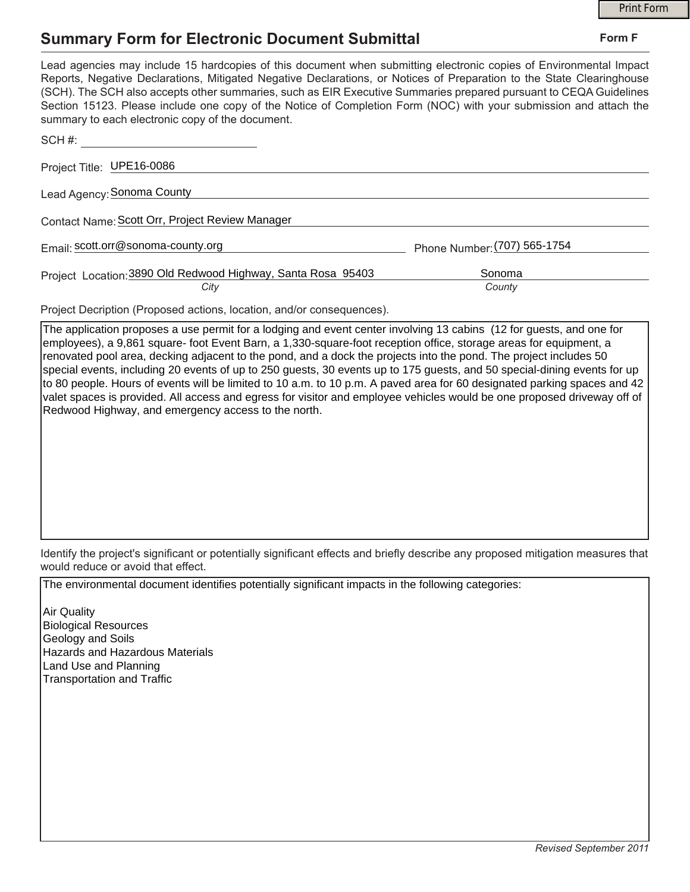## **Summary Form for Electronic Document Submittal**

|                                                                                                                                                                                                                                                                                                                                                                                                                                                                                                                                           |                              | <b>Print Form</b> |
|-------------------------------------------------------------------------------------------------------------------------------------------------------------------------------------------------------------------------------------------------------------------------------------------------------------------------------------------------------------------------------------------------------------------------------------------------------------------------------------------------------------------------------------------|------------------------------|-------------------|
| <b>Summary Form for Electronic Document Submittal</b>                                                                                                                                                                                                                                                                                                                                                                                                                                                                                     |                              | Form F            |
| Lead agencies may include 15 hardcopies of this document when submitting electronic copies of Environmental Impact<br>Reports, Negative Declarations, Mitigated Negative Declarations, or Notices of Preparation to the State Clearinghouse<br>(SCH). The SCH also accepts other summaries, such as EIR Executive Summaries prepared pursuant to CEQA Guidelines<br>Section 15123. Please include one copy of the Notice of Completion Form (NOC) with your submission and attach the<br>summary to each electronic copy of the document. |                              |                   |
| SCH #:                                                                                                                                                                                                                                                                                                                                                                                                                                                                                                                                    |                              |                   |
| Project Title: UPE16-0086                                                                                                                                                                                                                                                                                                                                                                                                                                                                                                                 |                              |                   |
| Lead Agency: Sonoma County                                                                                                                                                                                                                                                                                                                                                                                                                                                                                                                |                              |                   |
| Contact Name: Scott Orr, Project Review Manager                                                                                                                                                                                                                                                                                                                                                                                                                                                                                           |                              |                   |
| Email: scott.orr@sonoma-county.org                                                                                                                                                                                                                                                                                                                                                                                                                                                                                                        | Phone Number: (707) 565-1754 |                   |
| Project Location: 3890 Old Redwood Highway, Santa Rosa 95403<br>City                                                                                                                                                                                                                                                                                                                                                                                                                                                                      | Sonoma<br>County             |                   |
| Project Decription (Proposed actions, location, and/or consequences).                                                                                                                                                                                                                                                                                                                                                                                                                                                                     |                              |                   |

The application proposes a use permit for a lodging and event center involving 13 cabins (12 for guests, and one for employees), a 9,861 square- foot Event Barn, a 1,330-square-foot reception office, storage areas for equipment, a renovated pool area, decking adjacent to the pond, and a dock the projects into the pond. The project includes 50 special events, including 20 events of up to 250 guests, 30 events up to 175 guests, and 50 special-dining events for up to 80 people. Hours of events will be limited to 10 a.m. to 10 p.m. A paved area for 60 designated parking spaces and 42 valet spaces is provided. All access and egress for visitor and employee vehicles would be one proposed driveway off of Redwood Highway, and emergency access to the north.

Identify the project's significant or potentially significant effects and briefly describe any proposed mitigation measures that would reduce or avoid that effect.

The environmental document identifies potentially significant impacts in the following categories:

Air Quality Biological Resources Geology and Soils Hazards and Hazardous Materials Land Use and Planning Transportation and Traffic